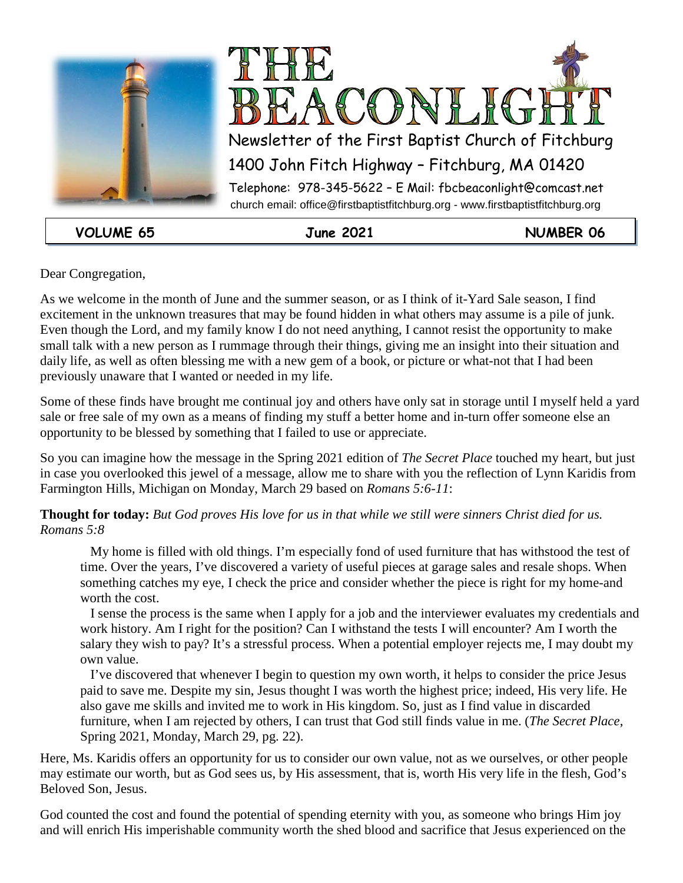



**VOLUME 65 June 2021 NUMBER 06**

Dear Congregation,

As we welcome in the month of June and the summer season, or as I think of it-Yard Sale season, I find excitement in the unknown treasures that may be found hidden in what others may assume is a pile of junk. Even though the Lord, and my family know I do not need anything, I cannot resist the opportunity to make small talk with a new person as I rummage through their things, giving me an insight into their situation and daily life, as well as often blessing me with a new gem of a book, or picture or what-not that I had been previously unaware that I wanted or needed in my life.

Some of these finds have brought me continual joy and others have only sat in storage until I myself held a yard sale or free sale of my own as a means of finding my stuff a better home and in-turn offer someone else an opportunity to be blessed by something that I failed to use or appreciate.

So you can imagine how the message in the Spring 2021 edition of *The Secret Place* touched my heart, but just in case you overlooked this jewel of a message, allow me to share with you the reflection of Lynn Karidis from Farmington Hills, Michigan on Monday, March 29 based on *Romans 5:6-11*:

**Thought for today:** *But God proves His love for us in that while we still were sinners Christ died for us. Romans 5:8*

 My home is filled with old things. I'm especially fond of used furniture that has withstood the test of time. Over the years, I've discovered a variety of useful pieces at garage sales and resale shops. When something catches my eye, I check the price and consider whether the piece is right for my home-and worth the cost.

 I sense the process is the same when I apply for a job and the interviewer evaluates my credentials and work history. Am I right for the position? Can I withstand the tests I will encounter? Am I worth the salary they wish to pay? It's a stressful process. When a potential employer rejects me, I may doubt my own value.

 I've discovered that whenever I begin to question my own worth, it helps to consider the price Jesus paid to save me. Despite my sin, Jesus thought I was worth the highest price; indeed, His very life. He also gave me skills and invited me to work in His kingdom. So, just as I find value in discarded furniture, when I am rejected by others, I can trust that God still finds value in me. (*The Secret Place*, Spring 2021, Monday, March 29, pg. 22).

Here, Ms. Karidis offers an opportunity for us to consider our own value, not as we ourselves, or other people may estimate our worth, but as God sees us, by His assessment, that is, worth His very life in the flesh, God's Beloved Son, Jesus.

God counted the cost and found the potential of spending eternity with you, as someone who brings Him joy and will enrich His imperishable community worth the shed blood and sacrifice that Jesus experienced on the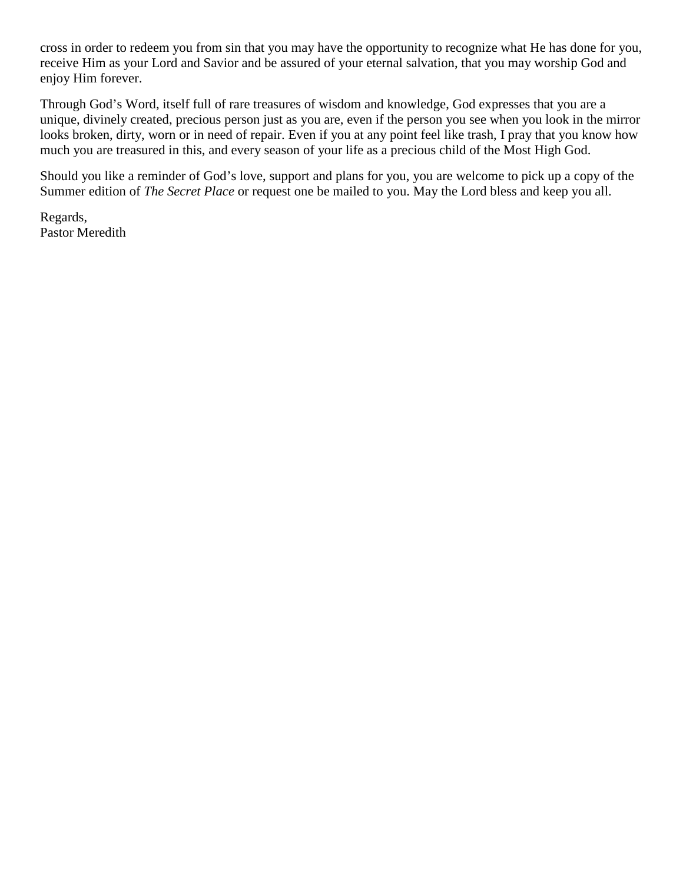cross in order to redeem you from sin that you may have the opportunity to recognize what He has done for you, receive Him as your Lord and Savior and be assured of your eternal salvation, that you may worship God and enjoy Him forever.

Through God's Word, itself full of rare treasures of wisdom and knowledge, God expresses that you are a unique, divinely created, precious person just as you are, even if the person you see when you look in the mirror looks broken, dirty, worn or in need of repair. Even if you at any point feel like trash, I pray that you know how much you are treasured in this, and every season of your life as a precious child of the Most High God.

Should you like a reminder of God's love, support and plans for you, you are welcome to pick up a copy of the Summer edition of *The Secret Place* or request one be mailed to you. May the Lord bless and keep you all.

Regards, Pastor Meredith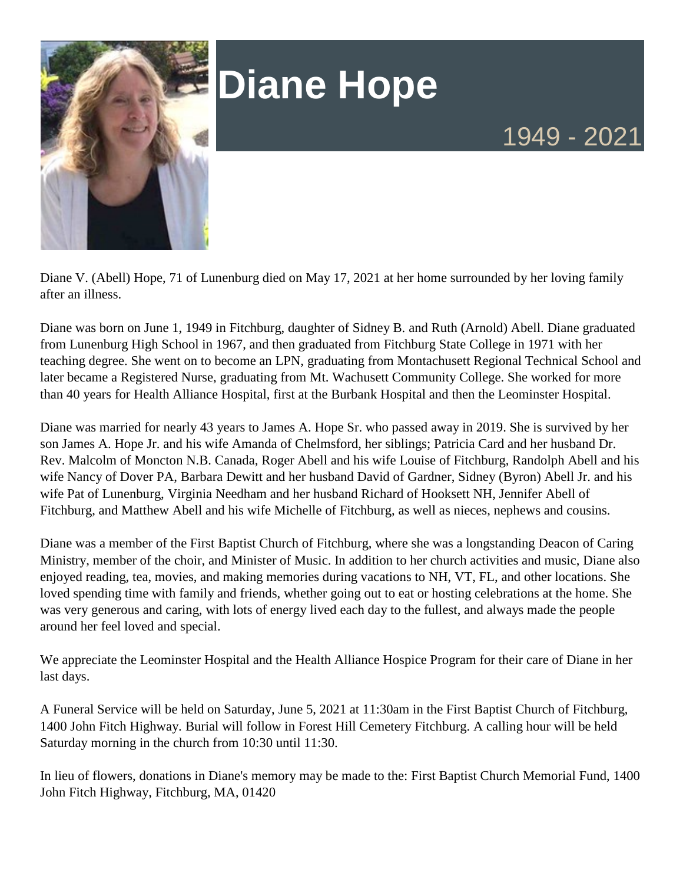

# **Diane Hope**

Diane V. (Abell) Hope, 71 of Lunenburg died on May 17, 2021 at her home surrounded by her loving family after an illness.

Diane was born on June 1, 1949 in Fitchburg, daughter of Sidney B. and Ruth (Arnold) Abell. Diane graduated from Lunenburg High School in 1967, and then graduated from Fitchburg State College in 1971 with her teaching degree. She went on to become an LPN, graduating from Montachusett Regional Technical School and later became a Registered Nurse, graduating from Mt. Wachusett Community College. She worked for more than 40 years for Health Alliance Hospital, first at the Burbank Hospital and then the Leominster Hospital.

Diane was married for nearly 43 years to James A. Hope Sr. who passed away in 2019. She is survived by her son James A. Hope Jr. and his wife Amanda of Chelmsford, her siblings; Patricia Card and her husband Dr. Rev. Malcolm of Moncton N.B. Canada, Roger Abell and his wife Louise of Fitchburg, Randolph Abell and his wife Nancy of Dover PA, Barbara Dewitt and her husband David of Gardner, Sidney (Byron) Abell Jr. and his wife Pat of Lunenburg, Virginia Needham and her husband Richard of Hooksett NH, Jennifer Abell of Fitchburg, and Matthew Abell and his wife Michelle of Fitchburg, as well as nieces, nephews and cousins.

Diane was a member of the First Baptist Church of Fitchburg, where she was a longstanding Deacon of Caring Ministry, member of the choir, and Minister of Music. In addition to her church activities and music, Diane also enjoyed reading, tea, movies, and making memories during vacations to NH, VT, FL, and other locations. She loved spending time with family and friends, whether going out to eat or hosting celebrations at the home. She was very generous and caring, with lots of energy lived each day to the fullest, and always made the people around her feel loved and special.

We appreciate the Leominster Hospital and the Health Alliance Hospice Program for their care of Diane in her last days.

A Funeral Service will be held on Saturday, June 5, 2021 at 11:30am in the First Baptist Church of Fitchburg, 1400 John Fitch Highway. Burial will follow in Forest Hill Cemetery Fitchburg. A calling hour will be held Saturday morning in the church from 10:30 until 11:30.

In lieu of flowers, donations in Diane's memory may be made to the: First Baptist Church Memorial Fund, 1400 John Fitch Highway, Fitchburg, MA, 01420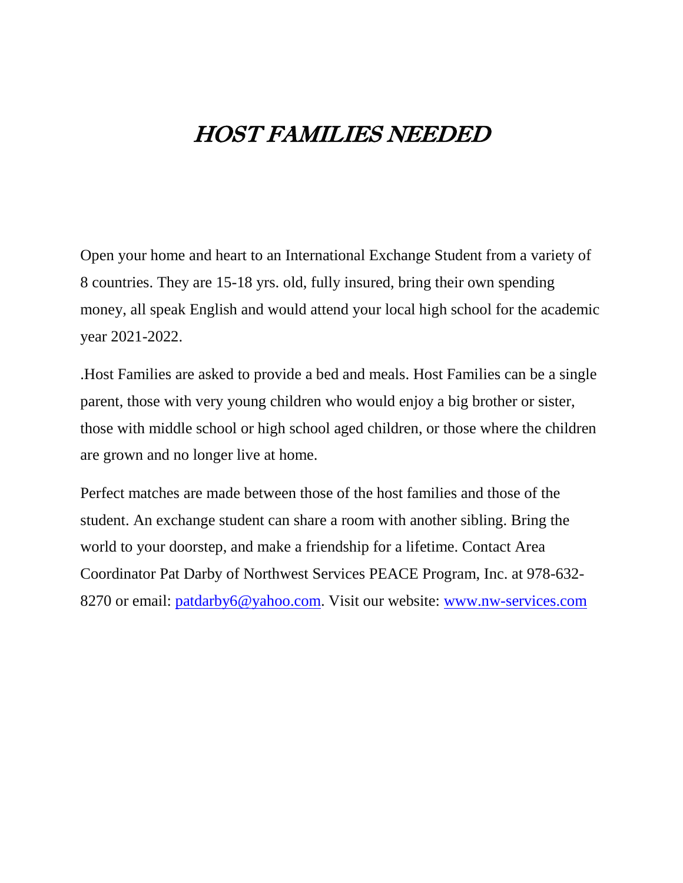### HOST FAMILIES NEEDED

Open your home and heart to an International Exchange Student from a variety of 8 countries. They are 15-18 yrs. old, fully insured, bring their own spending money, all speak English and would attend your local high school for the academic year 2021-2022.

.Host Families are asked to provide a bed and meals. Host Families can be a single parent, those with very young children who would enjoy a big brother or sister, those with middle school or high school aged children, or those where the children are grown and no longer live at home.

Perfect matches are made between those of the host families and those of the student. An exchange student can share a room with another sibling. Bring the world to your doorstep, and make a friendship for a lifetime. Contact Area Coordinator Pat Darby of Northwest Services PEACE Program, Inc. at 978-632- 8270 or email: [patdarby6@yahoo.com.](mailto:patdarby6@yahoo.com) Visit our website: [www.nw-services.com](http://www.nw-services.com/)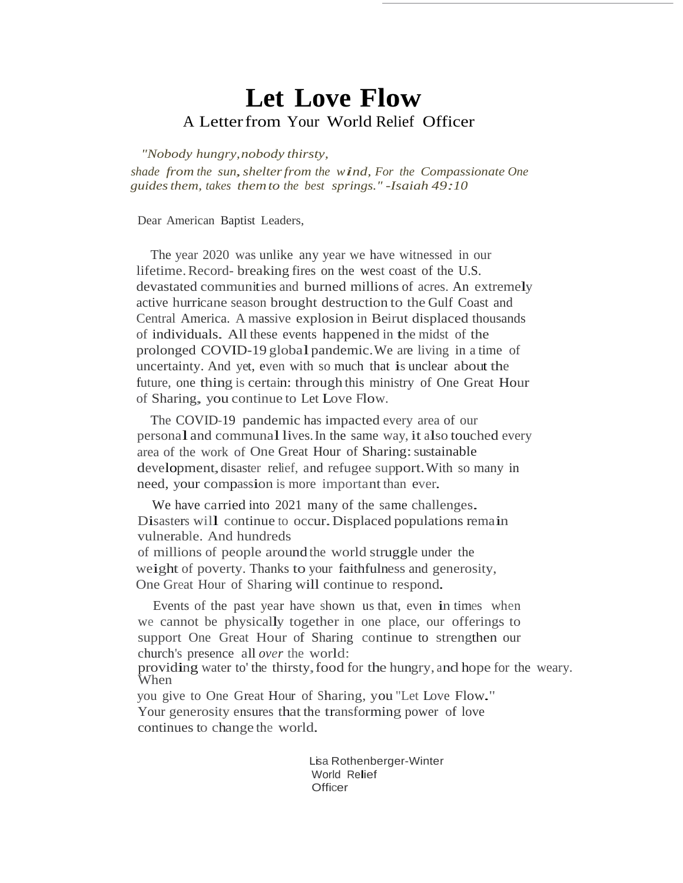### **Let Love Flow**A Letterfrom Your World Relief Officer

 *"Nobody hungry,nobody thirsty,*

*shade from the sun, shelter from the wind, For the Compassionate One guidesthem, takes themto the best springs." -Isaiah 49:10*

Dear American Baptist Leaders,

The year 2020 was unlike any year we have witnessed in our lifetime.Record- breaking fires on the west coast of the U.S. devastated communities and burned millions of acres. An extremely active hurricane season brought destruction to the Gulf Coast and Central America. A massive explosion in Beirut displaced thousands of individuals. All these events happened in the midst of the prolonged COVID-19 global pandemic. We are living in a time of uncertainty. And yet, even with so much that is unclear about the future, one thing is certain: through this ministry of One Great Hour of Sharing, you continue to Let Love Flow.

The COVID-19 pandemic has impacted every area of our personal and communallives.In the same way, it also touched every area of the work of One Great Hour of Sharing: sustainable development,disaster relief, and refugee support.With so many in need, your compassion is more important than ever.

We have carried into 2021 many of the same challenges. Disasters will continue to occur. Displaced populations remain vulnerable. And hundreds of millions of people around the world struggle under the weight of poverty. Thanks to your faithfulness and generosity, One Great Hour of Sharing will continue to respond.

Events of the past year have shown us that, even in times when we cannot be physically together in one place, our offerings to support One Great Hour of Sharing continue to strengthen our church's presence all *over* the world:

providing water to' the thirsty,food for the hungry, and hope for the weary. When

you give to One Great Hour of Sharing, you "Let Love Flow." Your generosity ensures that the transforming power of love continues to change the world.

> Lisa Rothenberger-Winter World Relief **Officer**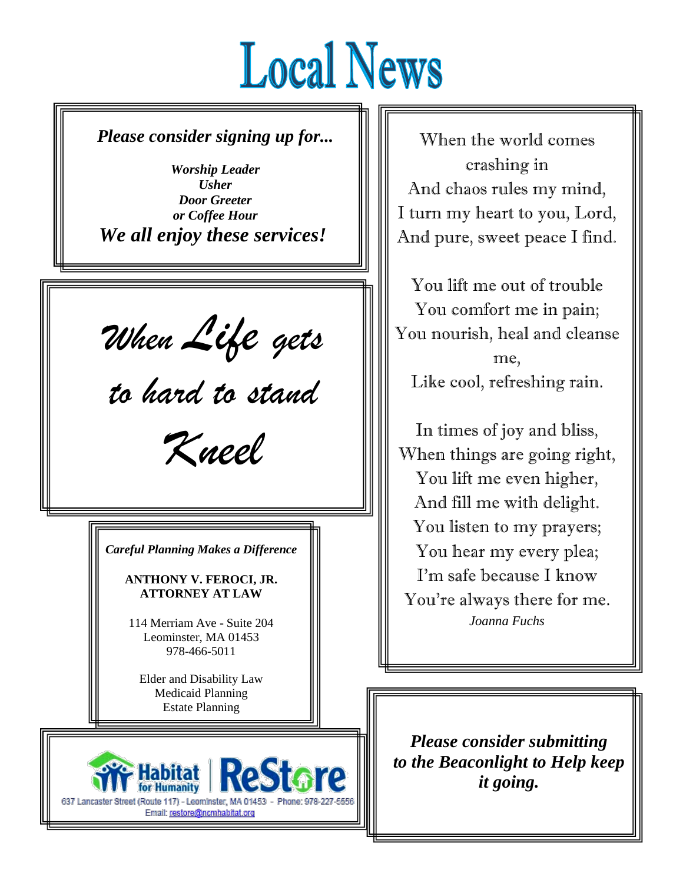# **Local News**

Ξ

*Please consider signing up for...*

*Worship Leader Usher Door Greeter or Coffee Hour We all enjoy these services!*

*When Life gets*

*to hard to stand*

*Kneel*

*Careful Planning Makes a Difference*

**ANTHONY V. FEROCI, JR. ATTORNEY AT LAW**

114 Merriam Ave - Suite 204 Leominster, MA 01453 978-466-5011

Elder and Disability Law Medicaid Planning Estate Planning



When the world comes crashing in And chaos rules my mind, I turn my heart to you, Lord, And pure, sweet peace I find.

You lift me out of trouble You comfort me in pain; You nourish, heal and cleanse me, Like cool, refreshing rain.

In times of joy and bliss, When things are going right, You lift me even higher, And fill me with delight. You listen to my prayers; You hear my every plea; I'm safe because I know You're always there for me. *Joanna Fuchs*

*Please consider submitting to the Beaconlight to Help keep it going.*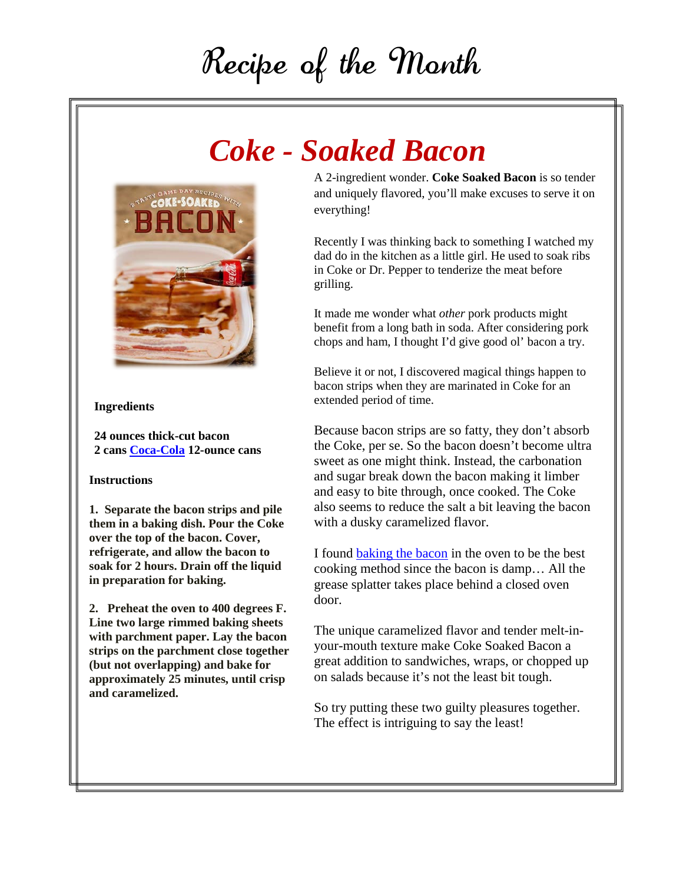## Recipe of the Month

### *Coke - Soaked Bacon*



### **Ingredients**

**24 ounces thick-cut bacon 2 cans [Coca-Cola](https://www.amazon.com/gp/search/ref=as_li_qf_sp_sr_il_tl?ie=UTF8&tag=aspiper-20&keywords=coca-cola&index=aps&camp=1789&creative=9325&linkCode=xm2&linkId=7b902ac6857842c214467046381a44fe) 12-ounce cans**

### **Instructions**

**1. Separate the bacon strips and pile them in a baking dish. Pour the Coke over the top of the bacon. Cover, refrigerate, and allow the bacon to soak for 2 hours. Drain off the liquid in preparation for baking.**

**2. Preheat the oven to 400 degrees F. Line two large rimmed baking sheets with parchment paper. Lay the bacon strips on the parchment close together (but not overlapping) and bake for approximately 25 minutes, until crisp and caramelized.**

A 2-ingredient wonder. **Coke Soaked Bacon** is so tender and uniquely flavored, you'll make excuses to serve it on everything!

Recently I was thinking back to something I watched my dad do in the kitchen as a little girl. He used to soak ribs in Coke or Dr. Pepper to tenderize the meat before grilling.

It made me wonder what *other* pork products might benefit from a long bath in soda. After considering pork chops and ham, I thought I'd give good ol' bacon a try.

Believe it or not, I discovered magical things happen to bacon strips when they are marinated in Coke for an extended period of time.

Because bacon strips are so fatty, they don't absorb the Coke, per se. So the bacon doesn't become ultra sweet as one might think. Instead, the carbonation and sugar break down the bacon making it limber and easy to bite through, once cooked. The Coke also seems to reduce the salt a bit leaving the bacon with a dusky caramelized flavor.

I found [baking the bacon](https://www.aspicyperspective.com/oven-bacon/) in the oven to be the best cooking method since the bacon is damp… All the grease splatter takes place behind a closed oven door.

The unique caramelized flavor and tender melt-inyour-mouth texture make Coke Soaked Bacon a great addition to sandwiches, wraps, or chopped up on salads because it's not the least bit tough.

So try putting these two guilty pleasures together. The effect is intriguing to say the least!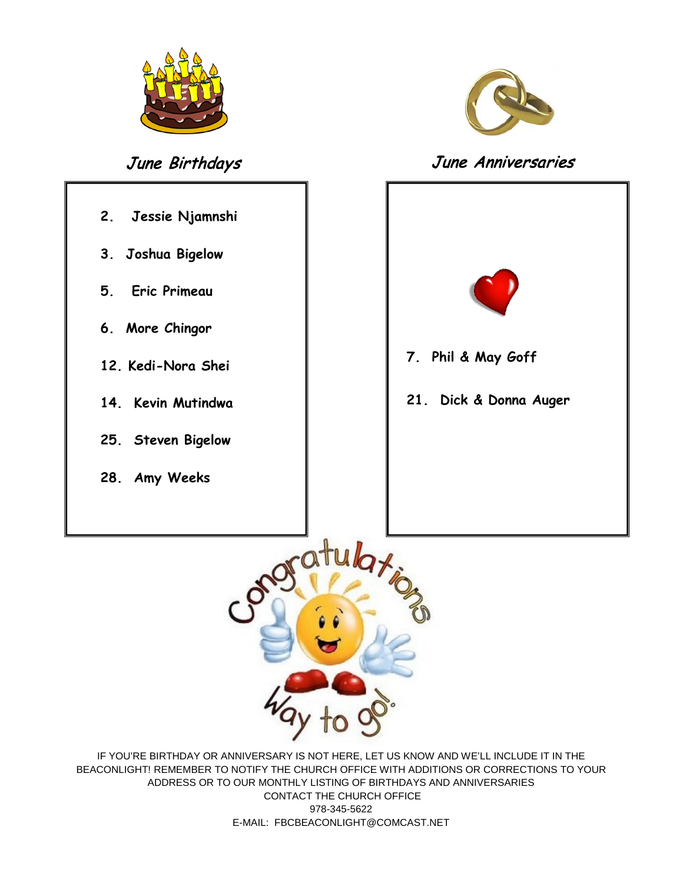

- **2. Jessie Njamnshi 3. Joshua Bigelow**
- **5. Eric Primeau**
- **6. More Chingor**
- **12. Kedi-Nora Shei**
- **14. Kevin Mutindwa**
- **25. Steven Bigelow**
- **28. Amy Weeks**



### June Birthdays June Anniversaries





IF YOU'RE BIRTHDAY OR ANNIVERSARY IS NOT HERE, LET US KNOW AND WE'LL INCLUDE IT IN THE BEACONLIGHT! REMEMBER TO NOTIFY THE CHURCH OFFICE WITH ADDITIONS OR CORRECTIONS TO YOUR ADDRESS OR TO OUR MONTHLY LISTING OF BIRTHDAYS AND ANNIVERSARIES CONTACT THE CHURCH OFFICE 978-345-5622 E-MAIL: FBCBEACONLIGHT@COMCAST.NET